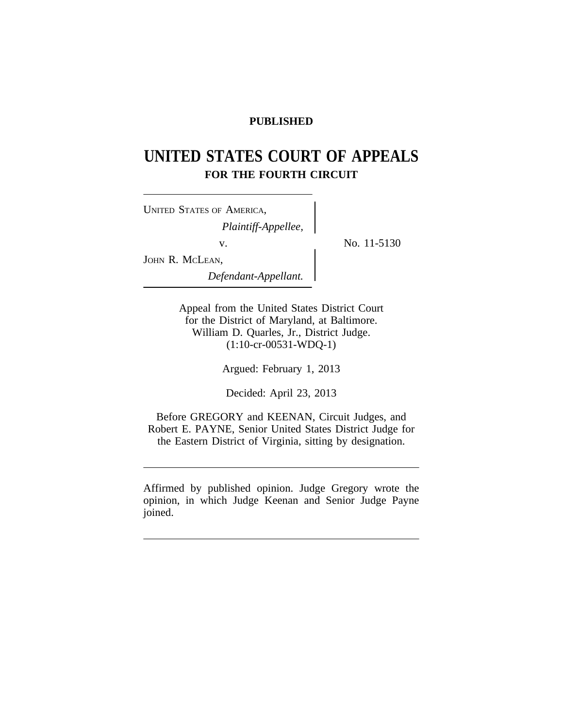# **PUBLISHED**

# **UNITED STATES COURT OF APPEALS FOR THE FOURTH CIRCUIT**

v. No. 11-5130

| <b>UNITED STATES OF AMERICA,</b>   |  |
|------------------------------------|--|
| $\label{eq:1} Plaintiff-Appellee,$ |  |
| V.                                 |  |
| JOHN R. MCLEAN,                    |  |
| Defendant-Appellant.               |  |

Appeal from the United States District Court for the District of Maryland, at Baltimore. William D. Quarles, Jr., District Judge. (1:10-cr-00531-WDQ-1)

Argued: February 1, 2013

Decided: April 23, 2013

Before GREGORY and KEENAN, Circuit Judges, and Robert E. PAYNE, Senior United States District Judge for the Eastern District of Virginia, sitting by designation.

Affirmed by published opinion. Judge Gregory wrote the opinion, in which Judge Keenan and Senior Judge Payne joined.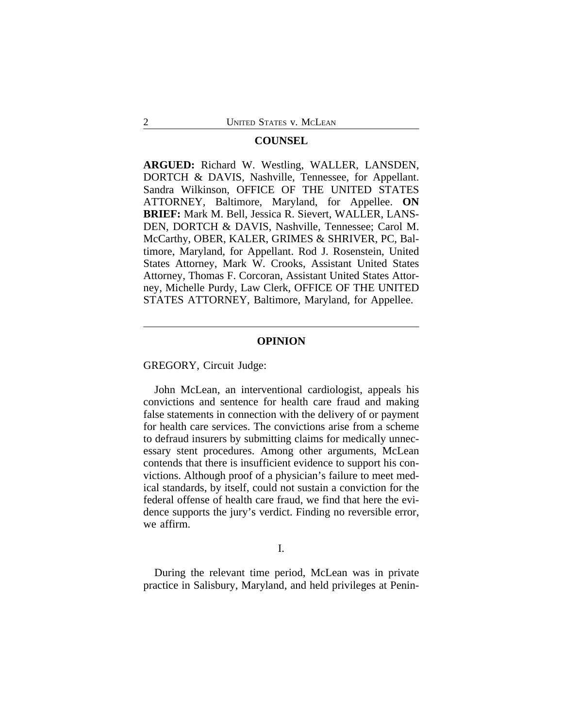#### **COUNSEL**

**ARGUED:** Richard W. Westling, WALLER, LANSDEN, DORTCH & DAVIS, Nashville, Tennessee, for Appellant. Sandra Wilkinson, OFFICE OF THE UNITED STATES ATTORNEY, Baltimore, Maryland, for Appellee. **ON BRIEF:** Mark M. Bell, Jessica R. Sievert, WALLER, LANS-DEN, DORTCH & DAVIS, Nashville, Tennessee; Carol M. McCarthy, OBER, KALER, GRIMES & SHRIVER, PC, Baltimore, Maryland, for Appellant. Rod J. Rosenstein, United States Attorney, Mark W. Crooks, Assistant United States Attorney, Thomas F. Corcoran, Assistant United States Attorney, Michelle Purdy, Law Clerk, OFFICE OF THE UNITED STATES ATTORNEY, Baltimore, Maryland, for Appellee.

#### **OPINION**

GREGORY, Circuit Judge:

John McLean, an interventional cardiologist, appeals his convictions and sentence for health care fraud and making false statements in connection with the delivery of or payment for health care services. The convictions arise from a scheme to defraud insurers by submitting claims for medically unnecessary stent procedures. Among other arguments, McLean contends that there is insufficient evidence to support his convictions. Although proof of a physician's failure to meet medical standards, by itself, could not sustain a conviction for the federal offense of health care fraud, we find that here the evidence supports the jury's verdict. Finding no reversible error, we affirm.

I.

During the relevant time period, McLean was in private practice in Salisbury, Maryland, and held privileges at Penin-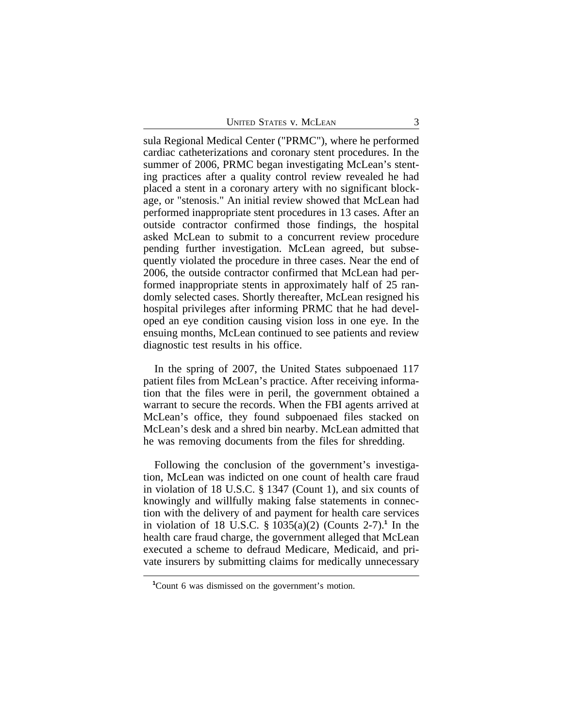sula Regional Medical Center ("PRMC"), where he performed cardiac catheterizations and coronary stent procedures. In the summer of 2006, PRMC began investigating McLean's stenting practices after a quality control review revealed he had placed a stent in a coronary artery with no significant blockage, or "stenosis." An initial review showed that McLean had performed inappropriate stent procedures in 13 cases. After an outside contractor confirmed those findings, the hospital asked McLean to submit to a concurrent review procedure pending further investigation. McLean agreed, but subsequently violated the procedure in three cases. Near the end of 2006, the outside contractor confirmed that McLean had performed inappropriate stents in approximately half of 25 randomly selected cases. Shortly thereafter, McLean resigned his hospital privileges after informing PRMC that he had developed an eye condition causing vision loss in one eye. In the ensuing months, McLean continued to see patients and review diagnostic test results in his office.

In the spring of 2007, the United States subpoenaed 117 patient files from McLean's practice. After receiving information that the files were in peril, the government obtained a warrant to secure the records. When the FBI agents arrived at McLean's office, they found subpoenaed files stacked on McLean's desk and a shred bin nearby. McLean admitted that he was removing documents from the files for shredding.

Following the conclusion of the government's investigation, McLean was indicted on one count of health care fraud in violation of 18 U.S.C. § 1347 (Count 1), and six counts of knowingly and willfully making false statements in connection with the delivery of and payment for health care services in violation of 18 U.S.C. § 1035(a)(2) (Counts 2-7).**<sup>1</sup>** In the health care fraud charge, the government alleged that McLean executed a scheme to defraud Medicare, Medicaid, and private insurers by submitting claims for medically unnecessary

**<sup>1</sup>**Count 6 was dismissed on the government's motion.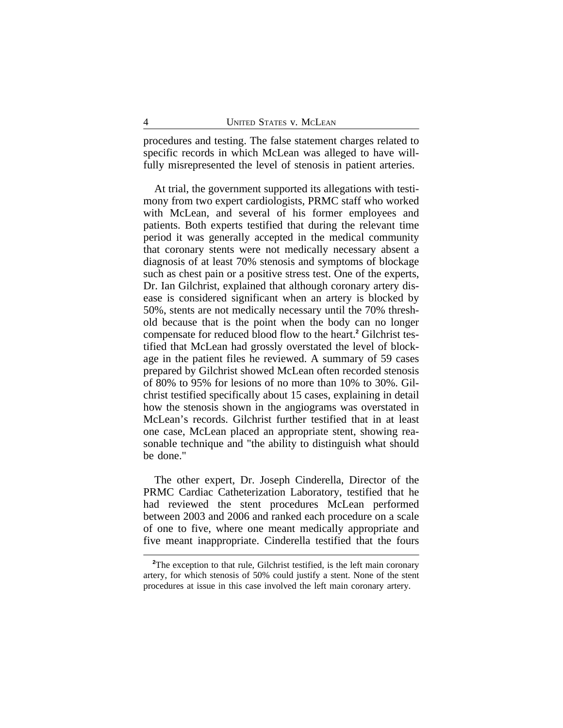procedures and testing. The false statement charges related to specific records in which McLean was alleged to have willfully misrepresented the level of stenosis in patient arteries.

At trial, the government supported its allegations with testimony from two expert cardiologists, PRMC staff who worked with McLean, and several of his former employees and patients. Both experts testified that during the relevant time period it was generally accepted in the medical community that coronary stents were not medically necessary absent a diagnosis of at least 70% stenosis and symptoms of blockage such as chest pain or a positive stress test. One of the experts, Dr. Ian Gilchrist, explained that although coronary artery disease is considered significant when an artery is blocked by 50%, stents are not medically necessary until the 70% threshold because that is the point when the body can no longer compensate for reduced blood flow to the heart.**<sup>2</sup>** Gilchrist testified that McLean had grossly overstated the level of blockage in the patient files he reviewed. A summary of 59 cases prepared by Gilchrist showed McLean often recorded stenosis of 80% to 95% for lesions of no more than 10% to 30%. Gilchrist testified specifically about 15 cases, explaining in detail how the stenosis shown in the angiograms was overstated in McLean's records. Gilchrist further testified that in at least one case, McLean placed an appropriate stent, showing reasonable technique and "the ability to distinguish what should be done."

The other expert, Dr. Joseph Cinderella, Director of the PRMC Cardiac Catheterization Laboratory, testified that he had reviewed the stent procedures McLean performed between 2003 and 2006 and ranked each procedure on a scale of one to five, where one meant medically appropriate and five meant inappropriate. Cinderella testified that the fours

<sup>&</sup>lt;sup>2</sup>The exception to that rule, Gilchrist testified, is the left main coronary artery, for which stenosis of 50% could justify a stent. None of the stent procedures at issue in this case involved the left main coronary artery.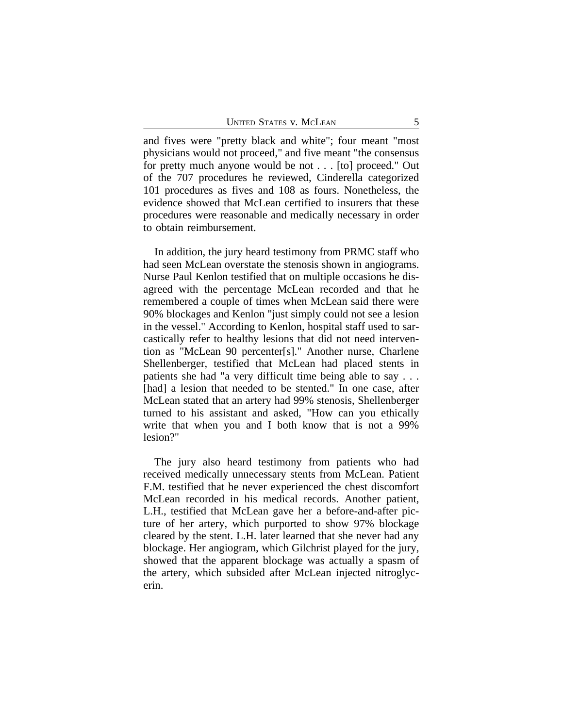and fives were "pretty black and white"; four meant "most physicians would not proceed," and five meant "the consensus for pretty much anyone would be not . . . [to] proceed." Out of the 707 procedures he reviewed, Cinderella categorized 101 procedures as fives and 108 as fours. Nonetheless, the evidence showed that McLean certified to insurers that these procedures were reasonable and medically necessary in order to obtain reimbursement.

In addition, the jury heard testimony from PRMC staff who had seen McLean overstate the stenosis shown in angiograms. Nurse Paul Kenlon testified that on multiple occasions he disagreed with the percentage McLean recorded and that he remembered a couple of times when McLean said there were 90% blockages and Kenlon "just simply could not see a lesion in the vessel." According to Kenlon, hospital staff used to sarcastically refer to healthy lesions that did not need intervention as "McLean 90 percenter[s]." Another nurse, Charlene Shellenberger, testified that McLean had placed stents in patients she had "a very difficult time being able to say . . . [had] a lesion that needed to be stented." In one case, after McLean stated that an artery had 99% stenosis, Shellenberger turned to his assistant and asked, "How can you ethically write that when you and I both know that is not a 99% lesion?"

The jury also heard testimony from patients who had received medically unnecessary stents from McLean. Patient F.M. testified that he never experienced the chest discomfort McLean recorded in his medical records. Another patient, L.H., testified that McLean gave her a before-and-after picture of her artery, which purported to show 97% blockage cleared by the stent. L.H. later learned that she never had any blockage. Her angiogram, which Gilchrist played for the jury, showed that the apparent blockage was actually a spasm of the artery, which subsided after McLean injected nitroglycerin.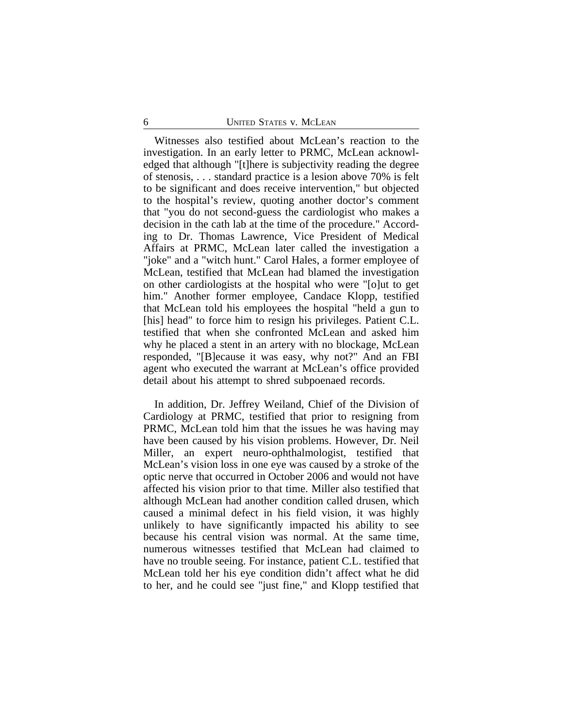Witnesses also testified about McLean's reaction to the investigation. In an early letter to PRMC, McLean acknowledged that although "[t]here is subjectivity reading the degree of stenosis, . . . standard practice is a lesion above 70% is felt to be significant and does receive intervention," but objected to the hospital's review, quoting another doctor's comment that "you do not second-guess the cardiologist who makes a decision in the cath lab at the time of the procedure." According to Dr. Thomas Lawrence, Vice President of Medical Affairs at PRMC, McLean later called the investigation a "joke" and a "witch hunt." Carol Hales, a former employee of McLean, testified that McLean had blamed the investigation on other cardiologists at the hospital who were "[o]ut to get him." Another former employee, Candace Klopp, testified that McLean told his employees the hospital "held a gun to [his] head" to force him to resign his privileges. Patient C.L. testified that when she confronted McLean and asked him why he placed a stent in an artery with no blockage, McLean responded, "[B]ecause it was easy, why not?" And an FBI agent who executed the warrant at McLean's office provided detail about his attempt to shred subpoenaed records.

In addition, Dr. Jeffrey Weiland, Chief of the Division of Cardiology at PRMC, testified that prior to resigning from PRMC, McLean told him that the issues he was having may have been caused by his vision problems. However, Dr. Neil Miller, an expert neuro-ophthalmologist, testified that McLean's vision loss in one eye was caused by a stroke of the optic nerve that occurred in October 2006 and would not have affected his vision prior to that time. Miller also testified that although McLean had another condition called drusen, which caused a minimal defect in his field vision, it was highly unlikely to have significantly impacted his ability to see because his central vision was normal. At the same time, numerous witnesses testified that McLean had claimed to have no trouble seeing. For instance, patient C.L. testified that McLean told her his eye condition didn't affect what he did to her, and he could see "just fine," and Klopp testified that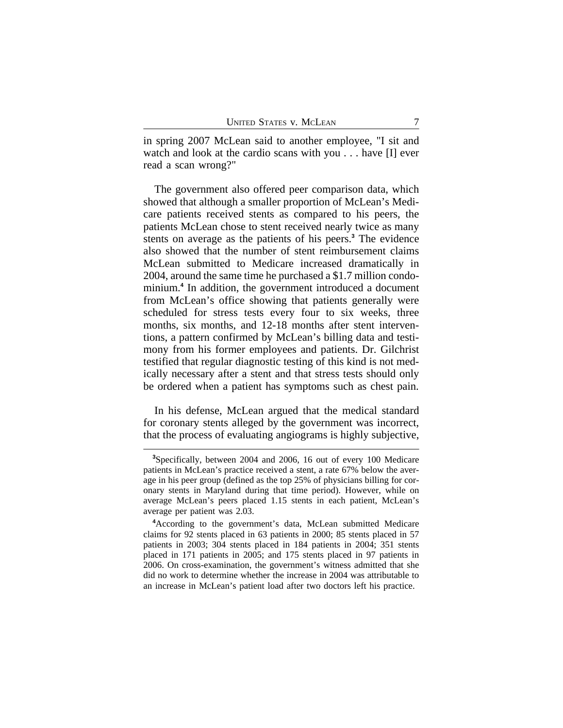in spring 2007 McLean said to another employee, "I sit and watch and look at the cardio scans with you . . . have [I] ever read a scan wrong?"

The government also offered peer comparison data, which showed that although a smaller proportion of McLean's Medicare patients received stents as compared to his peers, the patients McLean chose to stent received nearly twice as many stents on average as the patients of his peers.**<sup>3</sup>** The evidence also showed that the number of stent reimbursement claims McLean submitted to Medicare increased dramatically in 2004, around the same time he purchased a \$1.7 million condominium.**<sup>4</sup>** In addition, the government introduced a document from McLean's office showing that patients generally were scheduled for stress tests every four to six weeks, three months, six months, and 12-18 months after stent interventions, a pattern confirmed by McLean's billing data and testimony from his former employees and patients. Dr. Gilchrist testified that regular diagnostic testing of this kind is not medically necessary after a stent and that stress tests should only be ordered when a patient has symptoms such as chest pain.

In his defense, McLean argued that the medical standard for coronary stents alleged by the government was incorrect, that the process of evaluating angiograms is highly subjective,

**<sup>3</sup>**Specifically, between 2004 and 2006, 16 out of every 100 Medicare patients in McLean's practice received a stent, a rate 67% below the average in his peer group (defined as the top 25% of physicians billing for coronary stents in Maryland during that time period). However, while on average McLean's peers placed 1.15 stents in each patient, McLean's average per patient was 2.03.

**<sup>4</sup>**According to the government's data, McLean submitted Medicare claims for 92 stents placed in 63 patients in 2000; 85 stents placed in 57 patients in 2003; 304 stents placed in 184 patients in 2004; 351 stents placed in 171 patients in 2005; and 175 stents placed in 97 patients in 2006. On cross-examination, the government's witness admitted that she did no work to determine whether the increase in 2004 was attributable to an increase in McLean's patient load after two doctors left his practice.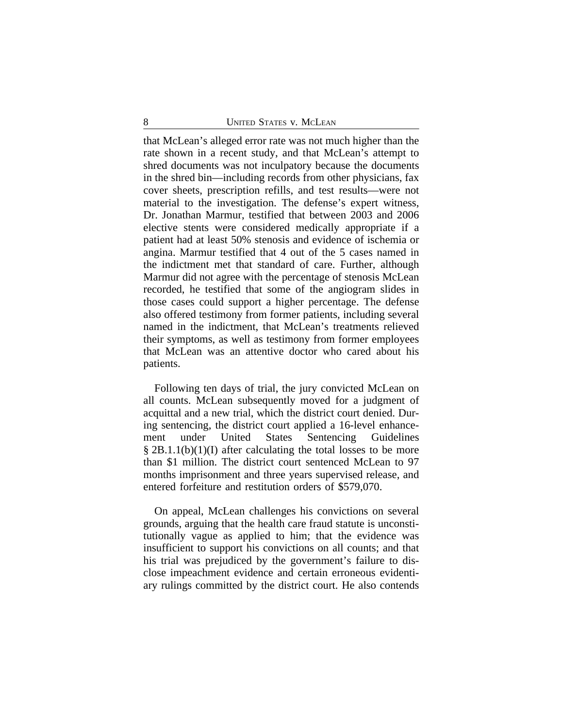that McLean's alleged error rate was not much higher than the rate shown in a recent study, and that McLean's attempt to shred documents was not inculpatory because the documents in the shred bin—including records from other physicians, fax cover sheets, prescription refills, and test results—were not material to the investigation. The defense's expert witness, Dr. Jonathan Marmur, testified that between 2003 and 2006 elective stents were considered medically appropriate if a patient had at least 50% stenosis and evidence of ischemia or angina. Marmur testified that 4 out of the 5 cases named in the indictment met that standard of care. Further, although Marmur did not agree with the percentage of stenosis McLean recorded, he testified that some of the angiogram slides in those cases could support a higher percentage. The defense also offered testimony from former patients, including several named in the indictment, that McLean's treatments relieved their symptoms, as well as testimony from former employees that McLean was an attentive doctor who cared about his patients.

Following ten days of trial, the jury convicted McLean on all counts. McLean subsequently moved for a judgment of acquittal and a new trial, which the district court denied. During sentencing, the district court applied a 16-level enhancement under United States Sentencing Guidelines § 2B.1.1(b)(1)(I) after calculating the total losses to be more than \$1 million. The district court sentenced McLean to 97 months imprisonment and three years supervised release, and entered forfeiture and restitution orders of \$579,070.

On appeal, McLean challenges his convictions on several grounds, arguing that the health care fraud statute is unconstitutionally vague as applied to him; that the evidence was insufficient to support his convictions on all counts; and that his trial was prejudiced by the government's failure to disclose impeachment evidence and certain erroneous evidentiary rulings committed by the district court. He also contends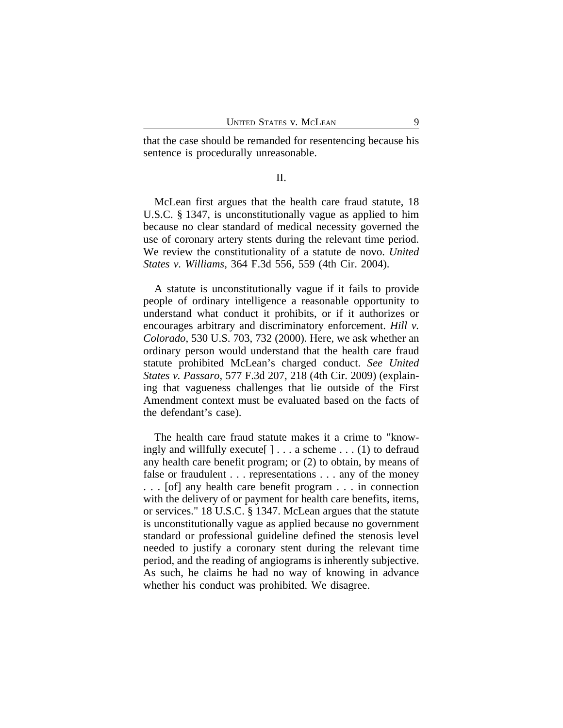that the case should be remanded for resentencing because his sentence is procedurally unreasonable.

#### II.

McLean first argues that the health care fraud statute, 18 U.S.C. § 1347, is unconstitutionally vague as applied to him because no clear standard of medical necessity governed the use of coronary artery stents during the relevant time period. We review the constitutionality of a statute de novo. *United States v. Williams*, 364 F.3d 556, 559 (4th Cir. 2004).

A statute is unconstitutionally vague if it fails to provide people of ordinary intelligence a reasonable opportunity to understand what conduct it prohibits, or if it authorizes or encourages arbitrary and discriminatory enforcement. *Hill v. Colorado*, 530 U.S. 703, 732 (2000). Here, we ask whether an ordinary person would understand that the health care fraud statute prohibited McLean's charged conduct. *See United States v. Passaro*, 577 F.3d 207, 218 (4th Cir. 2009) (explaining that vagueness challenges that lie outside of the First Amendment context must be evaluated based on the facts of the defendant's case).

The health care fraud statute makes it a crime to "knowingly and willfully execute[ ] . . . a scheme . . . (1) to defraud any health care benefit program; or (2) to obtain, by means of false or fraudulent . . . representations . . . any of the money . . . [of] any health care benefit program . . . in connection with the delivery of or payment for health care benefits, items, or services." 18 U.S.C. § 1347. McLean argues that the statute is unconstitutionally vague as applied because no government standard or professional guideline defined the stenosis level needed to justify a coronary stent during the relevant time period, and the reading of angiograms is inherently subjective. As such, he claims he had no way of knowing in advance whether his conduct was prohibited. We disagree.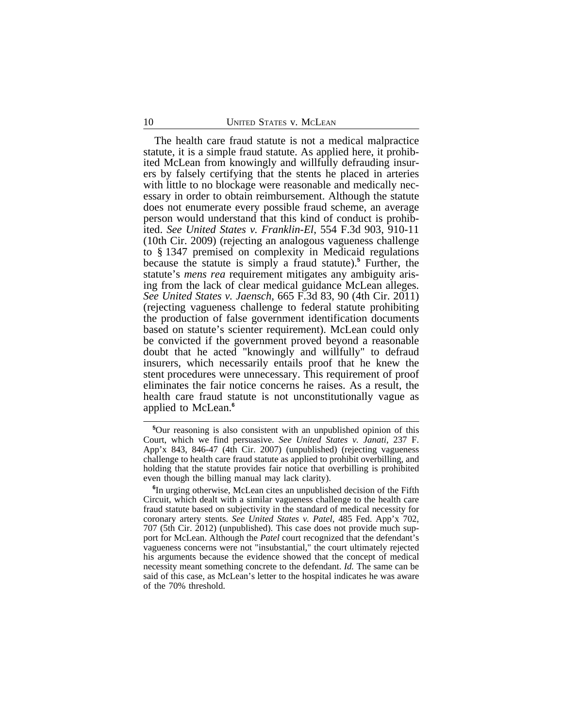The health care fraud statute is not a medical malpractice statute, it is a simple fraud statute. As applied here, it prohibited McLean from knowingly and willfully defrauding insurers by falsely certifying that the stents he placed in arteries with little to no blockage were reasonable and medically necessary in order to obtain reimbursement. Although the statute does not enumerate every possible fraud scheme, an average person would understand that this kind of conduct is prohibited. *See United States v. Franklin-El*, 554 F.3d 903, 910-11 (10th Cir. 2009) (rejecting an analogous vagueness challenge to § 1347 premised on complexity in Medicaid regulations because the statute is simply a fraud statute).**<sup>5</sup>** Further, the statute's *mens rea* requirement mitigates any ambiguity arising from the lack of clear medical guidance McLean alleges. *See United States v. Jaensch*, 665 F.3d 83, 90 (4th Cir. 2011) (rejecting vagueness challenge to federal statute prohibiting the production of false government identification documents based on statute's scienter requirement). McLean could only be convicted if the government proved beyond a reasonable doubt that he acted "knowingly and willfully" to defraud insurers, which necessarily entails proof that he knew the stent procedures were unnecessary. This requirement of proof eliminates the fair notice concerns he raises. As a result, the health care fraud statute is not unconstitutionally vague as applied to McLean.**<sup>6</sup>**

**<sup>5</sup>**Our reasoning is also consistent with an unpublished opinion of this Court, which we find persuasive. *See United States v. Janati*, 237 F. App'x 843, 846-47 (4th Cir. 2007) (unpublished) (rejecting vagueness challenge to health care fraud statute as applied to prohibit overbilling, and holding that the statute provides fair notice that overbilling is prohibited even though the billing manual may lack clarity).

**<sup>6</sup>** In urging otherwise, McLean cites an unpublished decision of the Fifth Circuit, which dealt with a similar vagueness challenge to the health care fraud statute based on subjectivity in the standard of medical necessity for coronary artery stents. *See United States v. Patel*, 485 Fed. App'x 702, 707 (5th Cir. 2012) (unpublished). This case does not provide much support for McLean. Although the *Patel* court recognized that the defendant's vagueness concerns were not "insubstantial," the court ultimately rejected his arguments because the evidence showed that the concept of medical necessity meant something concrete to the defendant. *Id.* The same can be said of this case, as McLean's letter to the hospital indicates he was aware of the 70% threshold.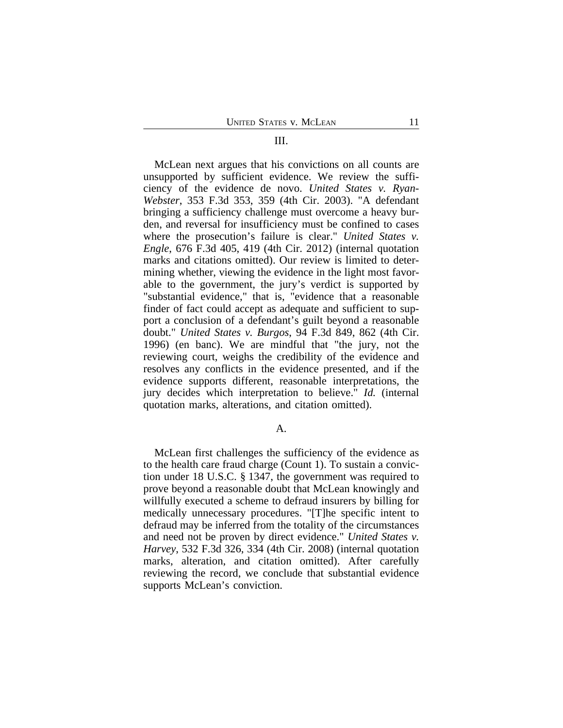#### III.

McLean next argues that his convictions on all counts are unsupported by sufficient evidence. We review the sufficiency of the evidence de novo. *United States v. Ryan-Webster*, 353 F.3d 353, 359 (4th Cir. 2003). "A defendant bringing a sufficiency challenge must overcome a heavy burden, and reversal for insufficiency must be confined to cases where the prosecution's failure is clear." *United States v. Engle*, 676 F.3d 405, 419 (4th Cir. 2012) (internal quotation marks and citations omitted). Our review is limited to determining whether, viewing the evidence in the light most favorable to the government, the jury's verdict is supported by "substantial evidence," that is, "evidence that a reasonable finder of fact could accept as adequate and sufficient to support a conclusion of a defendant's guilt beyond a reasonable doubt." *United States v. Burgos*, 94 F.3d 849, 862 (4th Cir. 1996) (en banc). We are mindful that "the jury, not the reviewing court, weighs the credibility of the evidence and resolves any conflicts in the evidence presented, and if the evidence supports different, reasonable interpretations, the jury decides which interpretation to believe." *Id.* (internal quotation marks, alterations, and citation omitted).

#### A.

McLean first challenges the sufficiency of the evidence as to the health care fraud charge (Count 1). To sustain a conviction under 18 U.S.C. § 1347, the government was required to prove beyond a reasonable doubt that McLean knowingly and willfully executed a scheme to defraud insurers by billing for medically unnecessary procedures. "[T]he specific intent to defraud may be inferred from the totality of the circumstances and need not be proven by direct evidence." *United States v. Harvey*, 532 F.3d 326, 334 (4th Cir. 2008) (internal quotation marks, alteration, and citation omitted). After carefully reviewing the record, we conclude that substantial evidence supports McLean's conviction.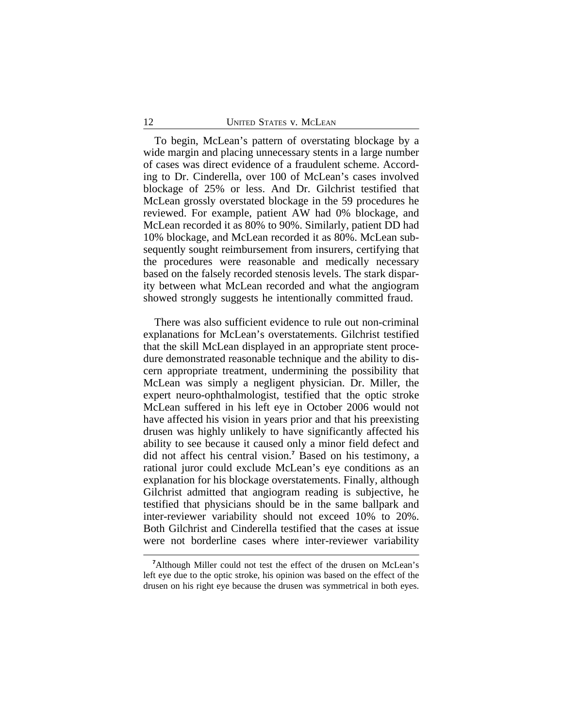To begin, McLean's pattern of overstating blockage by a wide margin and placing unnecessary stents in a large number of cases was direct evidence of a fraudulent scheme. According to Dr. Cinderella, over 100 of McLean's cases involved blockage of 25% or less. And Dr. Gilchrist testified that McLean grossly overstated blockage in the 59 procedures he reviewed. For example, patient AW had 0% blockage, and McLean recorded it as 80% to 90%. Similarly, patient DD had 10% blockage, and McLean recorded it as 80%. McLean subsequently sought reimbursement from insurers, certifying that the procedures were reasonable and medically necessary based on the falsely recorded stenosis levels. The stark disparity between what McLean recorded and what the angiogram showed strongly suggests he intentionally committed fraud.

There was also sufficient evidence to rule out non-criminal explanations for McLean's overstatements. Gilchrist testified that the skill McLean displayed in an appropriate stent procedure demonstrated reasonable technique and the ability to discern appropriate treatment, undermining the possibility that McLean was simply a negligent physician. Dr. Miller, the expert neuro-ophthalmologist, testified that the optic stroke McLean suffered in his left eye in October 2006 would not have affected his vision in years prior and that his preexisting drusen was highly unlikely to have significantly affected his ability to see because it caused only a minor field defect and did not affect his central vision.**<sup>7</sup>** Based on his testimony, a rational juror could exclude McLean's eye conditions as an explanation for his blockage overstatements. Finally, although Gilchrist admitted that angiogram reading is subjective, he testified that physicians should be in the same ballpark and inter-reviewer variability should not exceed 10% to 20%. Both Gilchrist and Cinderella testified that the cases at issue were not borderline cases where inter-reviewer variability

**<sup>7</sup>**Although Miller could not test the effect of the drusen on McLean's left eye due to the optic stroke, his opinion was based on the effect of the drusen on his right eye because the drusen was symmetrical in both eyes.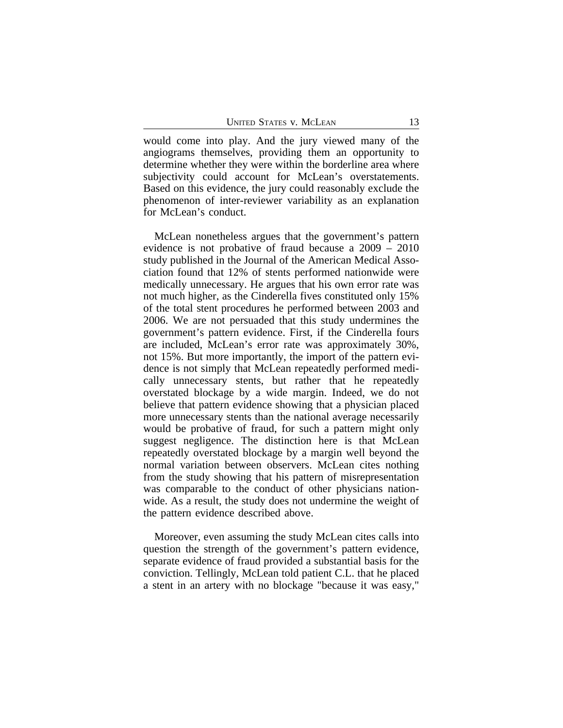would come into play. And the jury viewed many of the angiograms themselves, providing them an opportunity to determine whether they were within the borderline area where subjectivity could account for McLean's overstatements. Based on this evidence, the jury could reasonably exclude the phenomenon of inter-reviewer variability as an explanation for McLean's conduct.

McLean nonetheless argues that the government's pattern evidence is not probative of fraud because a 2009 – 2010 study published in the Journal of the American Medical Association found that 12% of stents performed nationwide were medically unnecessary. He argues that his own error rate was not much higher, as the Cinderella fives constituted only 15% of the total stent procedures he performed between 2003 and 2006. We are not persuaded that this study undermines the government's pattern evidence. First, if the Cinderella fours are included, McLean's error rate was approximately 30%, not 15%. But more importantly, the import of the pattern evidence is not simply that McLean repeatedly performed medically unnecessary stents, but rather that he repeatedly overstated blockage by a wide margin. Indeed, we do not believe that pattern evidence showing that a physician placed more unnecessary stents than the national average necessarily would be probative of fraud, for such a pattern might only suggest negligence. The distinction here is that McLean repeatedly overstated blockage by a margin well beyond the normal variation between observers. McLean cites nothing from the study showing that his pattern of misrepresentation was comparable to the conduct of other physicians nationwide. As a result, the study does not undermine the weight of the pattern evidence described above.

Moreover, even assuming the study McLean cites calls into question the strength of the government's pattern evidence, separate evidence of fraud provided a substantial basis for the conviction. Tellingly, McLean told patient C.L. that he placed a stent in an artery with no blockage "because it was easy,"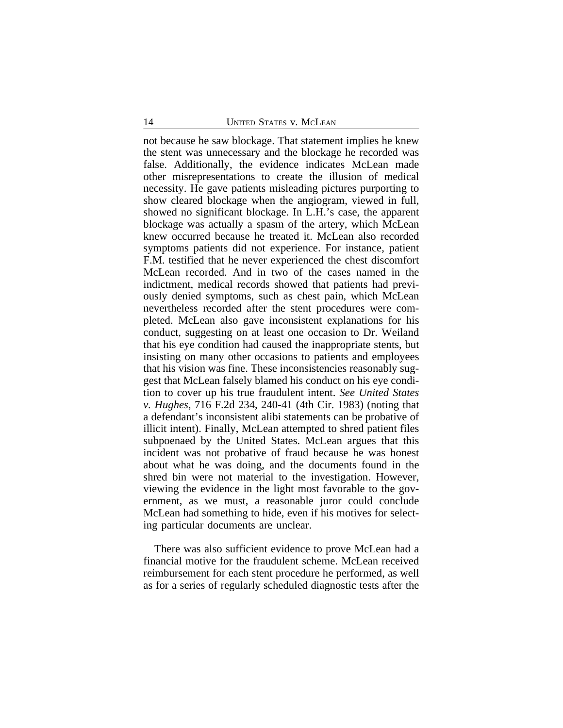not because he saw blockage. That statement implies he knew the stent was unnecessary and the blockage he recorded was false. Additionally, the evidence indicates McLean made other misrepresentations to create the illusion of medical necessity. He gave patients misleading pictures purporting to show cleared blockage when the angiogram, viewed in full, showed no significant blockage. In L.H.'s case, the apparent blockage was actually a spasm of the artery, which McLean knew occurred because he treated it. McLean also recorded symptoms patients did not experience. For instance, patient F.M. testified that he never experienced the chest discomfort McLean recorded. And in two of the cases named in the indictment, medical records showed that patients had previously denied symptoms, such as chest pain, which McLean nevertheless recorded after the stent procedures were completed. McLean also gave inconsistent explanations for his conduct, suggesting on at least one occasion to Dr. Weiland that his eye condition had caused the inappropriate stents, but insisting on many other occasions to patients and employees that his vision was fine. These inconsistencies reasonably suggest that McLean falsely blamed his conduct on his eye condition to cover up his true fraudulent intent. *See United States v. Hughes*, 716 F.2d 234, 240-41 (4th Cir. 1983) (noting that a defendant's inconsistent alibi statements can be probative of illicit intent). Finally, McLean attempted to shred patient files subpoenaed by the United States. McLean argues that this incident was not probative of fraud because he was honest about what he was doing, and the documents found in the shred bin were not material to the investigation. However, viewing the evidence in the light most favorable to the government, as we must, a reasonable juror could conclude McLean had something to hide, even if his motives for selecting particular documents are unclear.

There was also sufficient evidence to prove McLean had a financial motive for the fraudulent scheme. McLean received reimbursement for each stent procedure he performed, as well as for a series of regularly scheduled diagnostic tests after the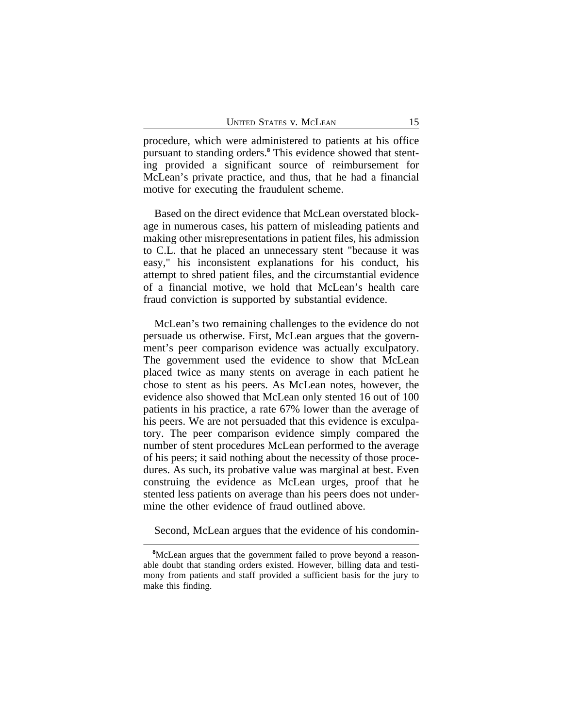procedure, which were administered to patients at his office pursuant to standing orders.**<sup>8</sup>** This evidence showed that stenting provided a significant source of reimbursement for McLean's private practice, and thus, that he had a financial motive for executing the fraudulent scheme.

Based on the direct evidence that McLean overstated blockage in numerous cases, his pattern of misleading patients and making other misrepresentations in patient files, his admission to C.L. that he placed an unnecessary stent "because it was easy," his inconsistent explanations for his conduct, his attempt to shred patient files, and the circumstantial evidence of a financial motive, we hold that McLean's health care fraud conviction is supported by substantial evidence.

McLean's two remaining challenges to the evidence do not persuade us otherwise. First, McLean argues that the government's peer comparison evidence was actually exculpatory. The government used the evidence to show that McLean placed twice as many stents on average in each patient he chose to stent as his peers. As McLean notes, however, the evidence also showed that McLean only stented 16 out of 100 patients in his practice, a rate 67% lower than the average of his peers. We are not persuaded that this evidence is exculpatory. The peer comparison evidence simply compared the number of stent procedures McLean performed to the average of his peers; it said nothing about the necessity of those procedures. As such, its probative value was marginal at best. Even construing the evidence as McLean urges, proof that he stented less patients on average than his peers does not undermine the other evidence of fraud outlined above.

Second, McLean argues that the evidence of his condomin-

**<sup>8</sup>**McLean argues that the government failed to prove beyond a reasonable doubt that standing orders existed. However, billing data and testimony from patients and staff provided a sufficient basis for the jury to make this finding.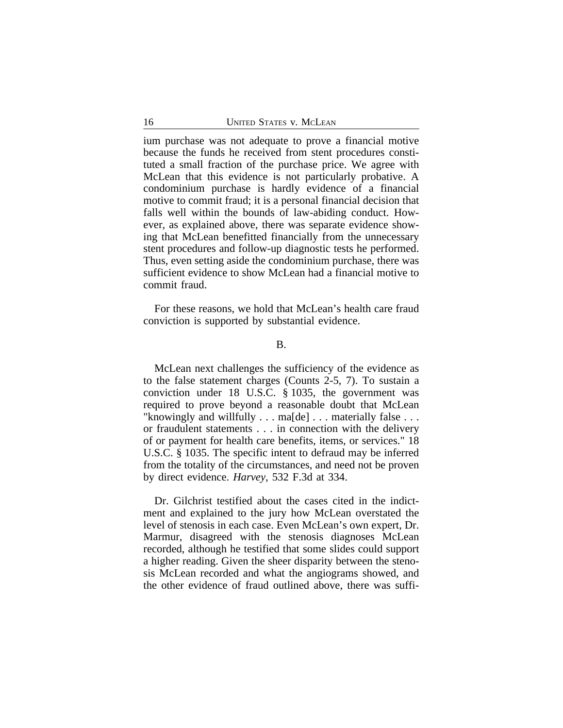ium purchase was not adequate to prove a financial motive because the funds he received from stent procedures constituted a small fraction of the purchase price. We agree with McLean that this evidence is not particularly probative. A condominium purchase is hardly evidence of a financial motive to commit fraud; it is a personal financial decision that falls well within the bounds of law-abiding conduct. However, as explained above, there was separate evidence showing that McLean benefitted financially from the unnecessary stent procedures and follow-up diagnostic tests he performed. Thus, even setting aside the condominium purchase, there was sufficient evidence to show McLean had a financial motive to commit fraud.

For these reasons, we hold that McLean's health care fraud conviction is supported by substantial evidence.

#### B.

McLean next challenges the sufficiency of the evidence as to the false statement charges (Counts 2-5, 7). To sustain a conviction under 18 U.S.C. § 1035, the government was required to prove beyond a reasonable doubt that McLean "knowingly and willfully . . . ma[de] . . . materially false . . . or fraudulent statements . . . in connection with the delivery of or payment for health care benefits, items, or services." 18 U.S.C. § 1035. The specific intent to defraud may be inferred from the totality of the circumstances, and need not be proven by direct evidence. *Harvey*, 532 F.3d at 334.

Dr. Gilchrist testified about the cases cited in the indictment and explained to the jury how McLean overstated the level of stenosis in each case. Even McLean's own expert, Dr. Marmur, disagreed with the stenosis diagnoses McLean recorded, although he testified that some slides could support a higher reading. Given the sheer disparity between the stenosis McLean recorded and what the angiograms showed, and the other evidence of fraud outlined above, there was suffi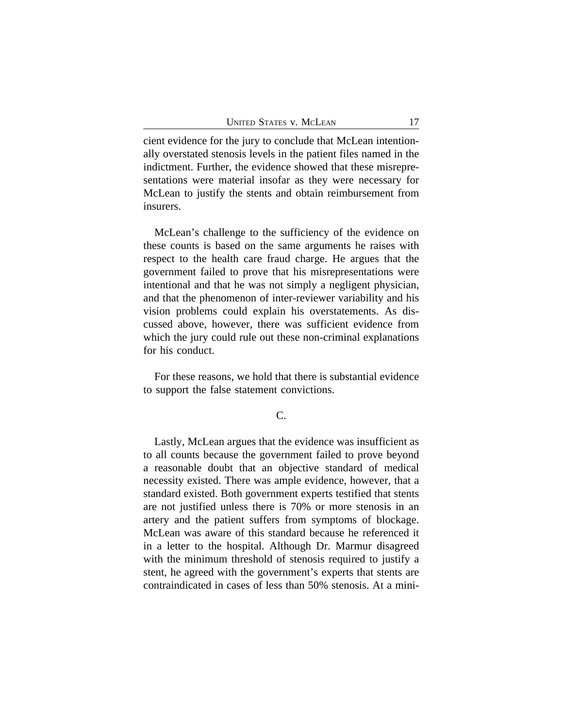cient evidence for the jury to conclude that McLean intentionally overstated stenosis levels in the patient files named in the indictment. Further, the evidence showed that these misrepresentations were material insofar as they were necessary for McLean to justify the stents and obtain reimbursement from insurers.

McLean's challenge to the sufficiency of the evidence on these counts is based on the same arguments he raises with respect to the health care fraud charge. He argues that the government failed to prove that his misrepresentations were intentional and that he was not simply a negligent physician, and that the phenomenon of inter-reviewer variability and his vision problems could explain his overstatements. As discussed above, however, there was sufficient evidence from which the jury could rule out these non-criminal explanations for his conduct.

For these reasons, we hold that there is substantial evidence to support the false statement convictions.

# C.

Lastly, McLean argues that the evidence was insufficient as to all counts because the government failed to prove beyond a reasonable doubt that an objective standard of medical necessity existed. There was ample evidence, however, that a standard existed. Both government experts testified that stents are not justified unless there is 70% or more stenosis in an artery and the patient suffers from symptoms of blockage. McLean was aware of this standard because he referenced it in a letter to the hospital. Although Dr. Marmur disagreed with the minimum threshold of stenosis required to justify a stent, he agreed with the government's experts that stents are contraindicated in cases of less than 50% stenosis. At a mini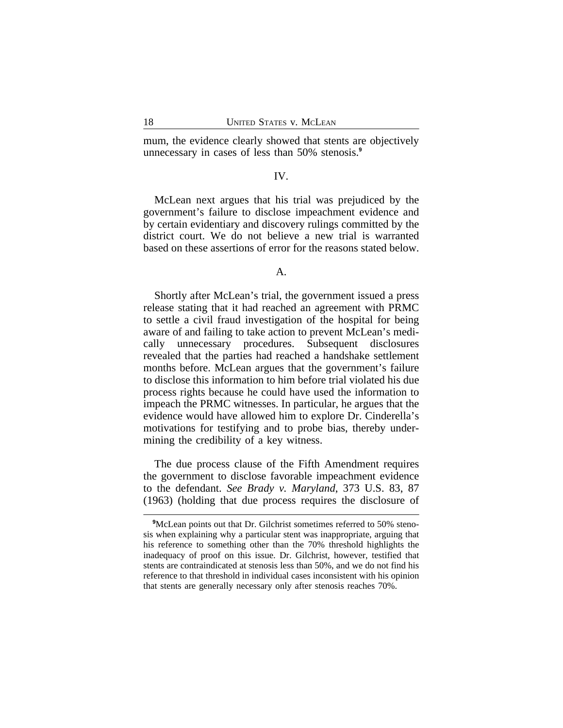mum, the evidence clearly showed that stents are objectively unnecessary in cases of less than 50% stenosis.**<sup>9</sup>**

## IV.

McLean next argues that his trial was prejudiced by the government's failure to disclose impeachment evidence and by certain evidentiary and discovery rulings committed by the district court. We do not believe a new trial is warranted based on these assertions of error for the reasons stated below.

A.

Shortly after McLean's trial, the government issued a press release stating that it had reached an agreement with PRMC to settle a civil fraud investigation of the hospital for being aware of and failing to take action to prevent McLean's medically unnecessary procedures. Subsequent disclosures revealed that the parties had reached a handshake settlement months before. McLean argues that the government's failure to disclose this information to him before trial violated his due process rights because he could have used the information to impeach the PRMC witnesses. In particular, he argues that the evidence would have allowed him to explore Dr. Cinderella's motivations for testifying and to probe bias, thereby undermining the credibility of a key witness.

The due process clause of the Fifth Amendment requires the government to disclose favorable impeachment evidence to the defendant. *See Brady v. Maryland*, 373 U.S. 83, 87 (1963) (holding that due process requires the disclosure of

<sup>&</sup>lt;sup>9</sup>McLean points out that Dr. Gilchrist sometimes referred to 50% stenosis when explaining why a particular stent was inappropriate, arguing that his reference to something other than the 70% threshold highlights the inadequacy of proof on this issue. Dr. Gilchrist, however, testified that stents are contraindicated at stenosis less than 50%, and we do not find his reference to that threshold in individual cases inconsistent with his opinion that stents are generally necessary only after stenosis reaches 70%.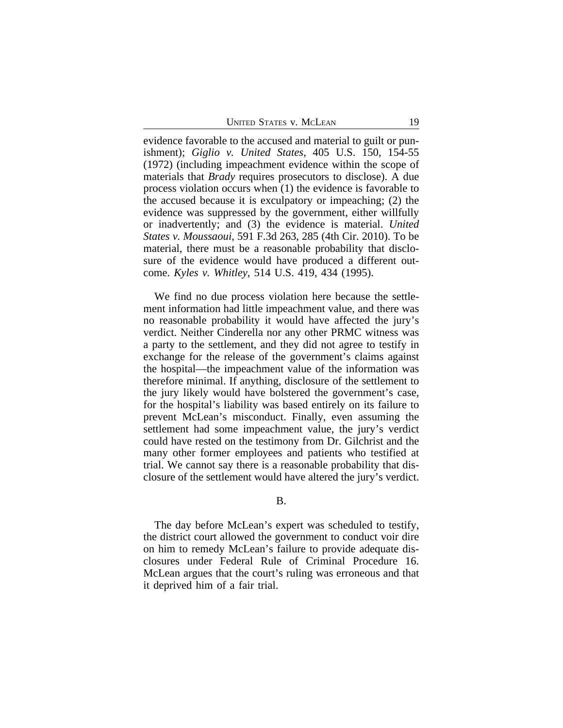evidence favorable to the accused and material to guilt or punishment); *Giglio v. United States*, 405 U.S. 150, 154-55 (1972) (including impeachment evidence within the scope of materials that *Brady* requires prosecutors to disclose). A due process violation occurs when (1) the evidence is favorable to the accused because it is exculpatory or impeaching; (2) the evidence was suppressed by the government, either willfully or inadvertently; and (3) the evidence is material. *United States v. Moussaoui*, 591 F.3d 263, 285 (4th Cir. 2010). To be material, there must be a reasonable probability that disclosure of the evidence would have produced a different outcome. *Kyles v. Whitley*, 514 U.S. 419, 434 (1995).

We find no due process violation here because the settlement information had little impeachment value, and there was no reasonable probability it would have affected the jury's verdict. Neither Cinderella nor any other PRMC witness was a party to the settlement, and they did not agree to testify in exchange for the release of the government's claims against the hospital—the impeachment value of the information was therefore minimal. If anything, disclosure of the settlement to the jury likely would have bolstered the government's case, for the hospital's liability was based entirely on its failure to prevent McLean's misconduct. Finally, even assuming the settlement had some impeachment value, the jury's verdict could have rested on the testimony from Dr. Gilchrist and the many other former employees and patients who testified at trial. We cannot say there is a reasonable probability that disclosure of the settlement would have altered the jury's verdict.

# B.

The day before McLean's expert was scheduled to testify, the district court allowed the government to conduct voir dire on him to remedy McLean's failure to provide adequate disclosures under Federal Rule of Criminal Procedure 16. McLean argues that the court's ruling was erroneous and that it deprived him of a fair trial.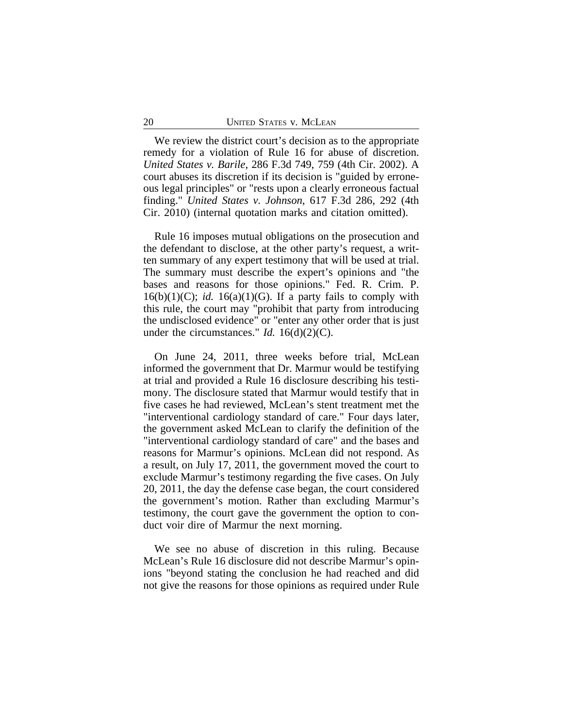We review the district court's decision as to the appropriate remedy for a violation of Rule 16 for abuse of discretion. *United States v. Barile*, 286 F.3d 749, 759 (4th Cir. 2002). A court abuses its discretion if its decision is "guided by erroneous legal principles" or "rests upon a clearly erroneous factual finding." *United States v. Johnson*, 617 F.3d 286, 292 (4th Cir. 2010) (internal quotation marks and citation omitted).

Rule 16 imposes mutual obligations on the prosecution and the defendant to disclose, at the other party's request, a written summary of any expert testimony that will be used at trial. The summary must describe the expert's opinions and "the bases and reasons for those opinions." Fed. R. Crim. P.  $16(b)(1)(C)$ ; *id.*  $16(a)(1)(G)$ . If a party fails to comply with this rule, the court may "prohibit that party from introducing the undisclosed evidence" or "enter any other order that is just under the circumstances." *Id.* 16(d)(2)(C).

On June 24, 2011, three weeks before trial, McLean informed the government that Dr. Marmur would be testifying at trial and provided a Rule 16 disclosure describing his testimony. The disclosure stated that Marmur would testify that in five cases he had reviewed, McLean's stent treatment met the "interventional cardiology standard of care." Four days later, the government asked McLean to clarify the definition of the "interventional cardiology standard of care" and the bases and reasons for Marmur's opinions. McLean did not respond. As a result, on July 17, 2011, the government moved the court to exclude Marmur's testimony regarding the five cases. On July 20, 2011, the day the defense case began, the court considered the government's motion. Rather than excluding Marmur's testimony, the court gave the government the option to conduct voir dire of Marmur the next morning.

We see no abuse of discretion in this ruling. Because McLean's Rule 16 disclosure did not describe Marmur's opinions "beyond stating the conclusion he had reached and did not give the reasons for those opinions as required under Rule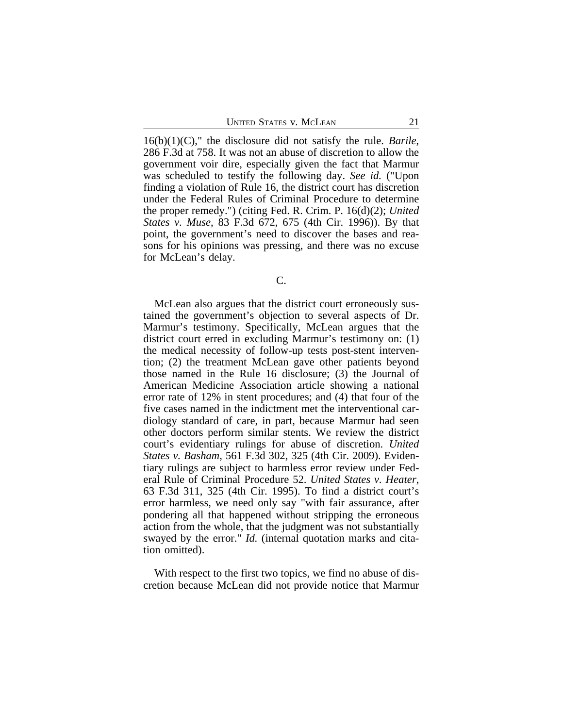16(b)(1)(C)," the disclosure did not satisfy the rule. *Barile*, 286 F.3d at 758. It was not an abuse of discretion to allow the government voir dire, especially given the fact that Marmur was scheduled to testify the following day. *See id.* ("Upon finding a violation of Rule 16, the district court has discretion under the Federal Rules of Criminal Procedure to determine the proper remedy.") (citing Fed. R. Crim. P. 16(d)(2); *United States v. Muse*, 83 F.3d 672, 675 (4th Cir. 1996)). By that point, the government's need to discover the bases and reasons for his opinions was pressing, and there was no excuse for McLean's delay.

## C.

McLean also argues that the district court erroneously sustained the government's objection to several aspects of Dr. Marmur's testimony. Specifically, McLean argues that the district court erred in excluding Marmur's testimony on: (1) the medical necessity of follow-up tests post-stent intervention; (2) the treatment McLean gave other patients beyond those named in the Rule 16 disclosure; (3) the Journal of American Medicine Association article showing a national error rate of 12% in stent procedures; and (4) that four of the five cases named in the indictment met the interventional cardiology standard of care, in part, because Marmur had seen other doctors perform similar stents. We review the district court's evidentiary rulings for abuse of discretion. *United States v. Basham*, 561 F.3d 302, 325 (4th Cir. 2009). Evidentiary rulings are subject to harmless error review under Federal Rule of Criminal Procedure 52. *United States v. Heater*, 63 F.3d 311, 325 (4th Cir. 1995). To find a district court's error harmless, we need only say "with fair assurance, after pondering all that happened without stripping the erroneous action from the whole, that the judgment was not substantially swayed by the error." *Id.* (internal quotation marks and citation omitted).

With respect to the first two topics, we find no abuse of discretion because McLean did not provide notice that Marmur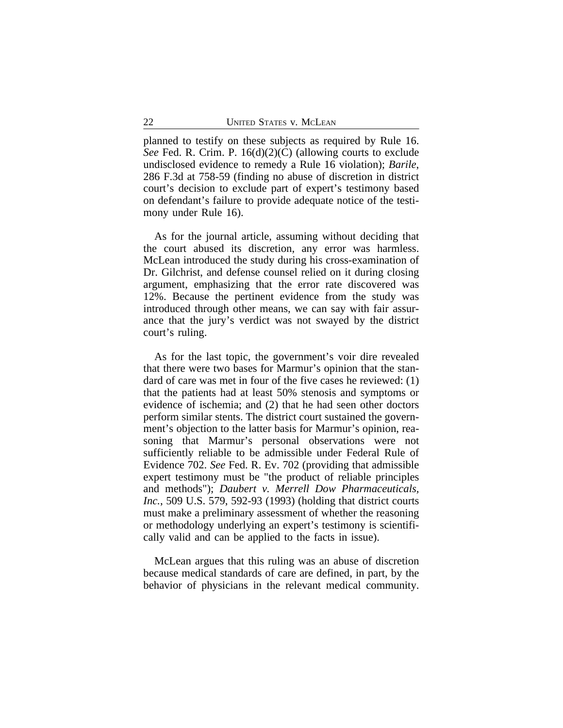planned to testify on these subjects as required by Rule 16. *See* Fed. R. Crim. P. 16(d)(2)(C) (allowing courts to exclude undisclosed evidence to remedy a Rule 16 violation); *Barile*, 286 F.3d at 758-59 (finding no abuse of discretion in district court's decision to exclude part of expert's testimony based on defendant's failure to provide adequate notice of the testimony under Rule 16).

As for the journal article, assuming without deciding that the court abused its discretion, any error was harmless. McLean introduced the study during his cross-examination of Dr. Gilchrist, and defense counsel relied on it during closing argument, emphasizing that the error rate discovered was 12%. Because the pertinent evidence from the study was introduced through other means, we can say with fair assurance that the jury's verdict was not swayed by the district court's ruling.

As for the last topic, the government's voir dire revealed that there were two bases for Marmur's opinion that the standard of care was met in four of the five cases he reviewed: (1) that the patients had at least 50% stenosis and symptoms or evidence of ischemia; and (2) that he had seen other doctors perform similar stents. The district court sustained the government's objection to the latter basis for Marmur's opinion, reasoning that Marmur's personal observations were not sufficiently reliable to be admissible under Federal Rule of Evidence 702. *See* Fed. R. Ev. 702 (providing that admissible expert testimony must be "the product of reliable principles and methods"); *Daubert v. Merrell Dow Pharmaceuticals, Inc.*, 509 U.S. 579, 592-93 (1993) (holding that district courts must make a preliminary assessment of whether the reasoning or methodology underlying an expert's testimony is scientifically valid and can be applied to the facts in issue).

McLean argues that this ruling was an abuse of discretion because medical standards of care are defined, in part, by the behavior of physicians in the relevant medical community.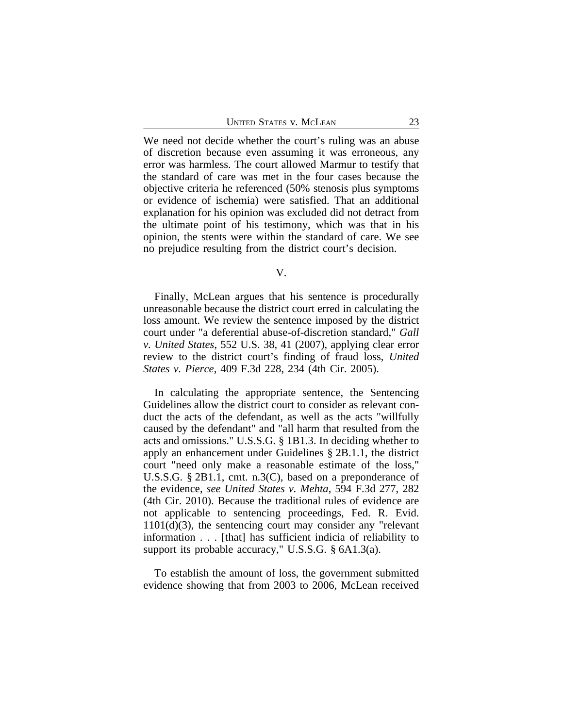We need not decide whether the court's ruling was an abuse of discretion because even assuming it was erroneous, any error was harmless. The court allowed Marmur to testify that the standard of care was met in the four cases because the objective criteria he referenced (50% stenosis plus symptoms or evidence of ischemia) were satisfied. That an additional explanation for his opinion was excluded did not detract from the ultimate point of his testimony, which was that in his opinion, the stents were within the standard of care. We see no prejudice resulting from the district court's decision.

V.

Finally, McLean argues that his sentence is procedurally unreasonable because the district court erred in calculating the loss amount. We review the sentence imposed by the district court under "a deferential abuse-of-discretion standard," *Gall v. United States*, 552 U.S. 38, 41 (2007), applying clear error review to the district court's finding of fraud loss, *United States v. Pierce*, 409 F.3d 228, 234 (4th Cir. 2005).

In calculating the appropriate sentence, the Sentencing Guidelines allow the district court to consider as relevant conduct the acts of the defendant, as well as the acts "willfully caused by the defendant" and "all harm that resulted from the acts and omissions." U.S.S.G. § 1B1.3. In deciding whether to apply an enhancement under Guidelines § 2B.1.1, the district court "need only make a reasonable estimate of the loss," U.S.S.G. § 2B1.1, cmt. n.3(C), based on a preponderance of the evidence, *see United States v. Mehta*, 594 F.3d 277, 282 (4th Cir. 2010). Because the traditional rules of evidence are not applicable to sentencing proceedings, Fed. R. Evid. 1101(d)(3), the sentencing court may consider any "relevant information . . . [that] has sufficient indicia of reliability to support its probable accuracy," U.S.S.G. § 6A1.3(a).

To establish the amount of loss, the government submitted evidence showing that from 2003 to 2006, McLean received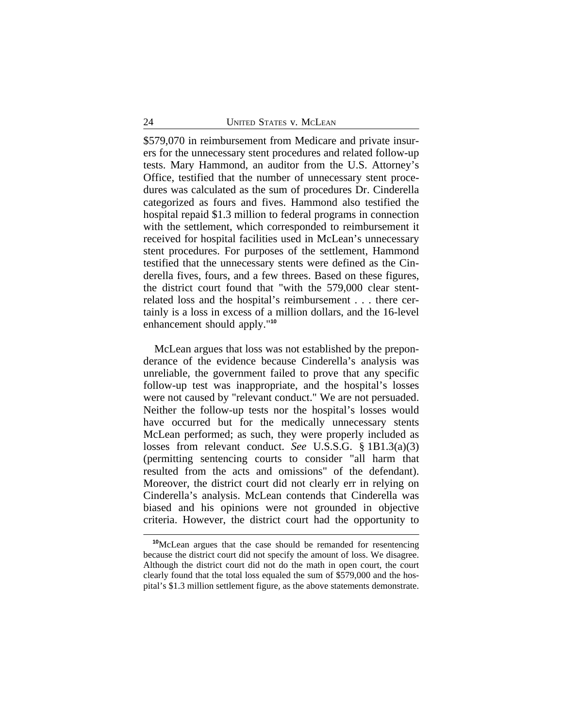\$579,070 in reimbursement from Medicare and private insurers for the unnecessary stent procedures and related follow-up tests. Mary Hammond, an auditor from the U.S. Attorney's Office, testified that the number of unnecessary stent procedures was calculated as the sum of procedures Dr. Cinderella categorized as fours and fives. Hammond also testified the hospital repaid \$1.3 million to federal programs in connection with the settlement, which corresponded to reimbursement it received for hospital facilities used in McLean's unnecessary stent procedures. For purposes of the settlement, Hammond testified that the unnecessary stents were defined as the Cinderella fives, fours, and a few threes. Based on these figures, the district court found that "with the 579,000 clear stentrelated loss and the hospital's reimbursement . . . there certainly is a loss in excess of a million dollars, and the 16-level enhancement should apply."**<sup>10</sup>**

McLean argues that loss was not established by the preponderance of the evidence because Cinderella's analysis was unreliable, the government failed to prove that any specific follow-up test was inappropriate, and the hospital's losses were not caused by "relevant conduct." We are not persuaded. Neither the follow-up tests nor the hospital's losses would have occurred but for the medically unnecessary stents McLean performed; as such, they were properly included as losses from relevant conduct. *See* U.S.S.G. § 1B1.3(a)(3) (permitting sentencing courts to consider "all harm that resulted from the acts and omissions" of the defendant). Moreover, the district court did not clearly err in relying on Cinderella's analysis. McLean contends that Cinderella was biased and his opinions were not grounded in objective criteria. However, the district court had the opportunity to

**<sup>10</sup>**McLean argues that the case should be remanded for resentencing because the district court did not specify the amount of loss. We disagree. Although the district court did not do the math in open court, the court clearly found that the total loss equaled the sum of \$579,000 and the hospital's \$1.3 million settlement figure, as the above statements demonstrate.